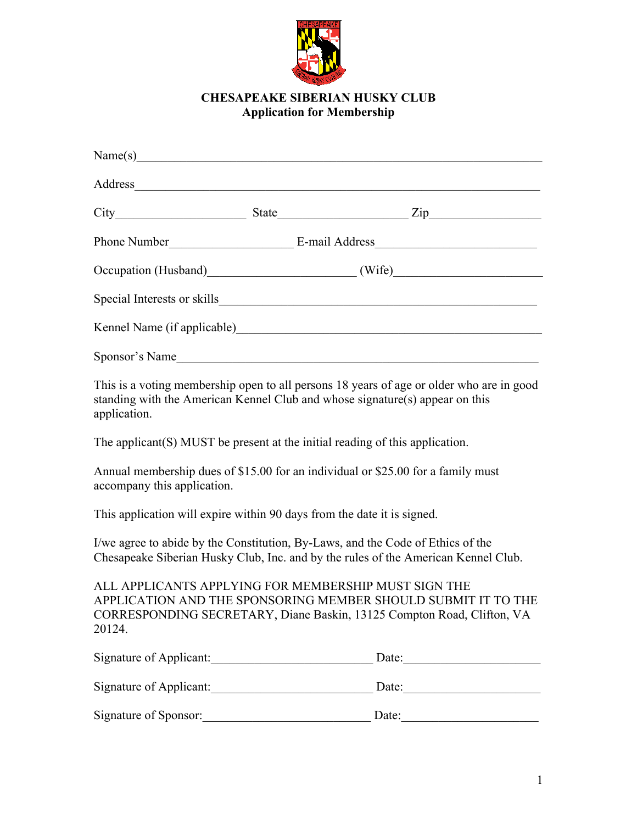

## **CHESAPEAKE SIBERIAN HUSKY CLUB Application for Membership**

| Sponsor's Name |  |  |
|----------------|--|--|

This is a voting membership open to all persons 18 years of age or older who are in good standing with the American Kennel Club and whose signature(s) appear on this application.

The applicant(S) MUST be present at the initial reading of this application.

Annual membership dues of \$15.00 for an individual or \$25.00 for a family must accompany this application.

This application will expire within 90 days from the date it is signed.

I/we agree to abide by the Constitution, By-Laws, and the Code of Ethics of the Chesapeake Siberian Husky Club, Inc. and by the rules of the American Kennel Club.

ALL APPLICANTS APPLYING FOR MEMBERSHIP MUST SIGN THE APPLICATION AND THE SPONSORING MEMBER SHOULD SUBMIT IT TO THE CORRESPONDING SECRETARY, Diane Baskin, 13125 Compton Road, Clifton, VA 20124.

| Signature of Applicant: | Date: |
|-------------------------|-------|
| Signature of Applicant: | Date: |
| Signature of Sponsor:   | Date: |